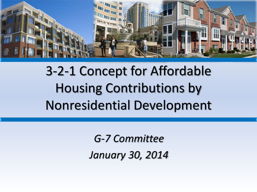

## 3-2-1 Concept for Affordable Housing Contributions by Nonresidential Development

*G-7 Committee January 30, 2014*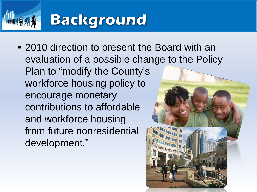# **Background**

■ 2010 direction to present the Board with an evaluation of a possible change to the Policy Plan to "modify the County's workforce housing policy to encourage monetary contributions to affordable and workforce housing from future nonresidential development."

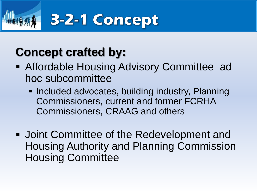

## **Concept crafted by:**

- **Affordable Housing Advisory Committee ad** hoc subcommittee
	- **Included advocates, building industry, Planning** Commissioners, current and former FCRHA Commissioners, CRAAG and others
- Joint Committee of the Redevelopment and Housing Authority and Planning Commission Housing Committee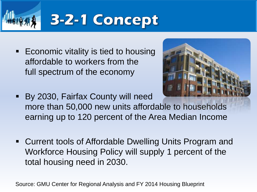

**Economic vitality is tied to housing** affordable to workers from the full spectrum of the economy



- By 2030, Fairfax County will need more than 50,000 new units affordable to households earning up to 120 percent of the Area Median Income
- Current tools of Affordable Dwelling Units Program and Workforce Housing Policy will supply 1 percent of the total housing need in 2030.

Source: GMU Center for Regional Analysis and FY 2014 Housing Blueprint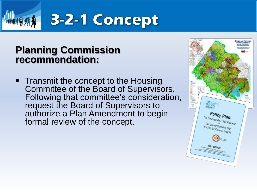

## 3-2-1 Concept

#### **Planning Commission recommendation:**

• Transmit the concept to the Housing Committee of the Board of Supervisors. Following that committee's consideration, request the Board of Supervisors to authorize a Plan Amendment to begin formal review of the concept.

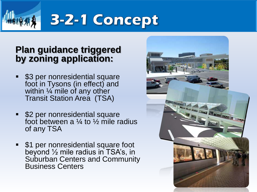

# 3-2-1 Concept

#### **Plan guidance triggered by zoning application:**

- \$3 per nonresidential square foot in Tysons (in effect) and within  $\frac{1}{4}$  mile of any other Transit Station Area (TSA)
- \$2 per nonresidential square foot between a  $\frac{1}{4}$  to  $\frac{1}{2}$  mile radius of any TSA
- **51 per nonresidential square foot** beyond ½ mile radius in TSA's, in Suburban Centers and Community Business Centers

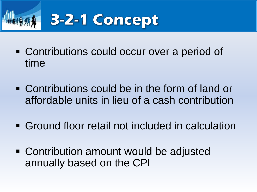

- Contributions could occur over a period of time
- Contributions could be in the form of land or affordable units in lieu of a cash contribution
- Ground floor retail not included in calculation
- Contribution amount would be adjusted annually based on the CPI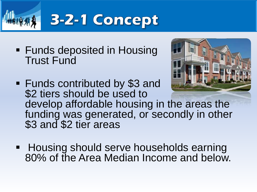

**Funds deposited in Housing** Trust Fund



- Funds contributed by \$3 and \$2 tiers should be used to develop affordable housing in the areas the funding was generated, or secondly in other \$3 and \$2 tier areas
- **Housing should serve households earning** 80% of the Area Median Income and below.